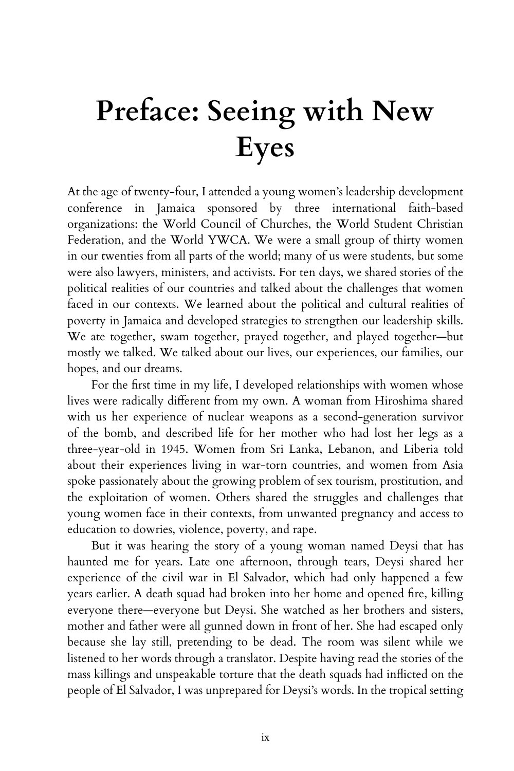## **Preface: Seeing with New Eyes**

At the age of twenty-four, I attended a young women's leadership development conference in Jamaica sponsored by three international faith-based organizations: the World Council of Churches, the World Student Christian Federation, and the World YWCA. We were a small group of thirty women in our twenties from all parts of the world; many of us were students, but some were also lawyers, ministers, and activists. For ten days, we shared stories of the political realities of our countries and talked about the challenges that women faced in our contexts. We learned about the political and cultural realities of poverty in Jamaica and developed strategies to strengthen our leadership skills. We ate together, swam together, prayed together, and played together—but mostly we talked. We talked about our lives, our experiences, our families, our hopes, and our dreams.

For the first time in my life, I developed relationships with women whose lives were radically different from my own. A woman from Hiroshima shared with us her experience of nuclear weapons as a second-generation survivor of the bomb, and described life for her mother who had lost her legs as a three-year-old in 1945. Women from Sri Lanka, Lebanon, and Liberia told about their experiences living in war-torn countries, and women from Asia spoke passionately about the growing problem of sex tourism, prostitution, and the exploitation of women. Others shared the struggles and challenges that young women face in their contexts, from unwanted pregnancy and access to education to dowries, violence, poverty, and rape.

But it was hearing the story of a young woman named Deysi that has haunted me for years. Late one afternoon, through tears, Deysi shared her experience of the civil war in El Salvador, which had only happened a few years earlier. A death squad had broken into her home and opened fire, killing everyone there—everyone but Deysi. She watched as her brothers and sisters, mother and father were all gunned down in front of her. She had escaped only because she lay still, pretending to be dead. The room was silent while we listened to her words through a translator. Despite having read the stories of the mass killings and unspeakable torture that the death squads had inflicted on the people of El Salvador, I was unprepared for Deysi's words. In the tropical setting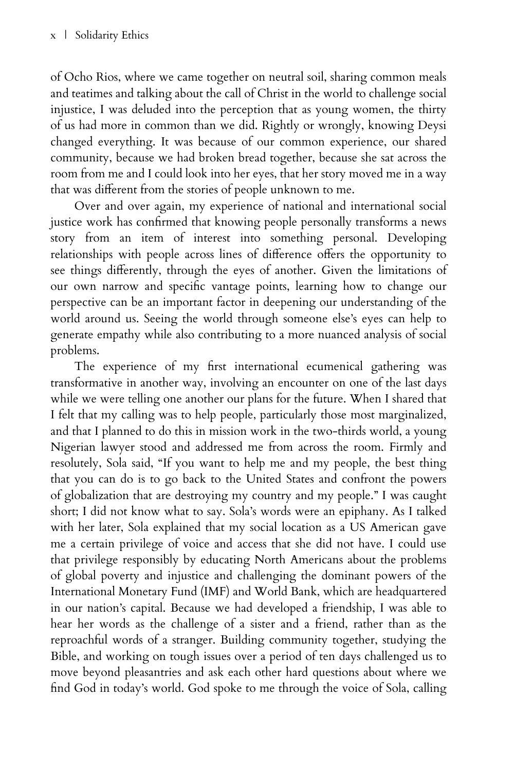of Ocho Rios, where we came together on neutral soil, sharing common meals and teatimes and talking about the call of Christ in the world to challenge social injustice, I was deluded into the perception that as young women, the thirty of us had more in common than we did. Rightly or wrongly, knowing Deysi changed everything. It was because of our common experience, our shared community, because we had broken bread together, because she sat across the room from me and I could look into her eyes, that her story moved me in a way that was different from the stories of people unknown to me.

Over and over again, my experience of national and international social justice work has confirmed that knowing people personally transforms a news story from an item of interest into something personal. Developing relationships with people across lines of difference offers the opportunity to see things differently, through the eyes of another. Given the limitations of our own narrow and specific vantage points, learning how to change our perspective can be an important factor in deepening our understanding of the world around us. Seeing the world through someone else's eyes can help to generate empathy while also contributing to a more nuanced analysis of social problems.

The experience of my first international ecumenical gathering was transformative in another way, involving an encounter on one of the last days while we were telling one another our plans for the future. When I shared that I felt that my calling was to help people, particularly those most marginalized, and that I planned to do this in mission work in the two-thirds world, a young Nigerian lawyer stood and addressed me from across the room. Firmly and resolutely, Sola said, "If you want to help me and my people, the best thing that you can do is to go back to the United States and confront the powers of globalization that are destroying my country and my people." I was caught short; I did not know what to say. Sola's words were an epiphany. As I talked with her later, Sola explained that my social location as a US American gave me a certain privilege of voice and access that she did not have. I could use that privilege responsibly by educating North Americans about the problems of global poverty and injustice and challenging the dominant powers of the International Monetary Fund (IMF) and World Bank, which are headquartered in our nation's capital. Because we had developed a friendship, I was able to hear her words as the challenge of a sister and a friend, rather than as the reproachful words of a stranger. Building community together, studying the Bible, and working on tough issues over a period of ten days challenged us to move beyond pleasantries and ask each other hard questions about where we find God in today's world. God spoke to me through the voice of Sola, calling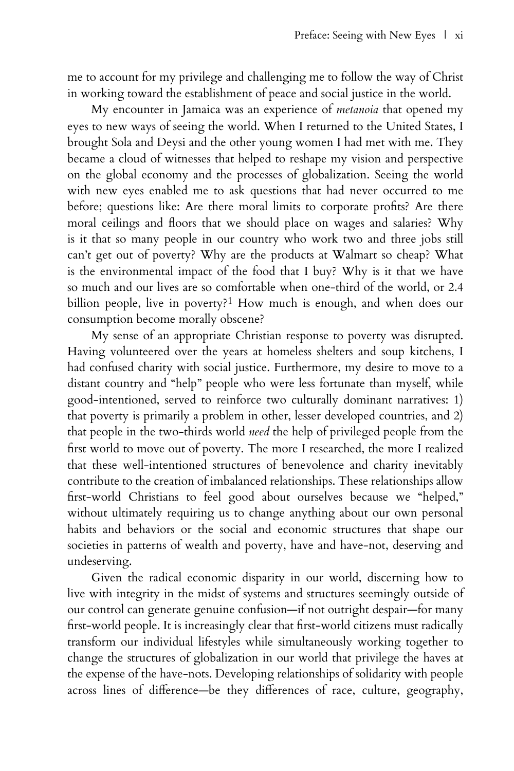me to account for my privilege and challenging me to follow the way of Christ in working toward the establishment of peace and social justice in the world.

My encounter in Jamaica was an experience of *metanoia* that opened my eyes to new ways of seeing the world. When I returned to the United States, I brought Sola and Deysi and the other young women I had met with me. They became a cloud of witnesses that helped to reshape my vision and perspective on the global economy and the processes of globalization. Seeing the world with new eyes enabled me to ask questions that had never occurred to me before; questions like: Are there moral limits to corporate profits? Are there moral ceilings and floors that we should place on wages and salaries? Why is it that so many people in our country who work two and three jobs still can't get out of poverty? Why are the products at Walmart so cheap? What is the environmental impact of the food that I buy? Why is it that we have so much and our lives are so comfortable when one-third of the world, or 2.4 billion people, live in poverty?1 How much is enough, and when does our consumption become morally obscene?

My sense of an appropriate Christian response to poverty was disrupted. Having volunteered over the years at homeless shelters and soup kitchens, I had confused charity with social justice. Furthermore, my desire to move to a distant country and "help" people who were less fortunate than myself, while good-intentioned, served to reinforce two culturally dominant narratives: 1) that poverty is primarily a problem in other, lesser developed countries, and 2) that people in the two-thirds world *need* the help of privileged people from the first world to move out of poverty. The more I researched, the more I realized that these well-intentioned structures of benevolence and charity inevitably contribute to the creation of imbalanced relationships. These relationships allow first-world Christians to feel good about ourselves because we "helped," without ultimately requiring us to change anything about our own personal habits and behaviors or the social and economic structures that shape our societies in patterns of wealth and poverty, have and have-not, deserving and undeserving.

Given the radical economic disparity in our world, discerning how to live with integrity in the midst of systems and structures seemingly outside of our control can generate genuine confusion—if not outright despair—for many first-world people. It is increasingly clear that first-world citizens must radically transform our individual lifestyles while simultaneously working together to change the structures of globalization in our world that privilege the haves at the expense of the have-nots. Developing relationships of solidarity with people across lines of difference—be they differences of race, culture, geography,